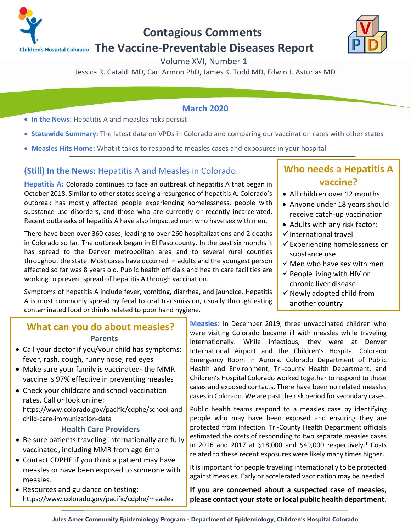

**Contagious Comments**

# **The Vaccine-Preventable Diseases Report**

Volume XVI, Number 1

Jessica R. Cataldi MD, Carl Armon PhD, James K. Todd MD, Edwin J. Asturias MD

### **March 2020**

- **In the News**: Hepatitis A and measles risks persist
- **Statewide Summary:** The latest data on VPDs in Colorado and comparing our vaccination rates with other states
- **Measles Hits Home:** What it takes to respond to measles cases and exposures in your hospital

# **(Still) In the News:** Hepatitis A and Measles in Colorado.

**Hepatitis A:** Colorado continues to face an outbreak of hepatitis A that began in October 2018. Similar to other states seeing a resurgence of hepatitis A, Colorado's outbreak has mostly affected people experiencing homelessness, people with substance use disorders, and those who are currently or recently incarcerated. Recent outbreaks of hepatitis A have also impacted men who have sex with men.

There have been over 360 cases, leading to over 260 hospitalizations and 2 deaths in Colorado so far. The outbreak began in El Paso county. In the past six months it has spread to the Denver metropolitan area and to several rural counties throughout the state. Most cases have occurred in adults and the youngest person affected so far was 8 years old. Public health officials and health care facilities are working to prevent spread of hepatitis A through vaccination.

Symptoms of hepatitis A include fever, vomiting, diarrhea, and jaundice. Hepatitis A is most commonly spread by fecal to oral transmission, usually through eating contaminated food or drinks related to poor hand hygiene.

# **Who needs a Hepatitis A vaccine?**

- All children over 12 months
- Anyone under 18 years should receive catch-up vaccination
- Adults with any risk factor:
- ✓International travel
- $\checkmark$  Experiencing homelessness or substance use
- $\checkmark$  Men who have sex with men
- $\checkmark$  People living with HIV or chronic liver disease
- $\checkmark$  Newly adopted child from another country

### **What can you do about measles? Parents**

- Call your doctor if you/your child has symptoms: fever, rash, cough, runny nose, red eyes
- Make sure your family is vaccinated- the MMR vaccine is 97% effective in preventing measles
- Check your childcare and school vaccination rates. Call or look online: https://www.colorado.gov/pacific/cdphe/school-andchild-care-immunization-data

#### **Health Care Providers**

- Be sure patients traveling internationally are fully vaccinated, including MMR from age 6mo
- Contact CDPHE if you think a patient may have measles or have been exposed to someone with measles.
- Resources and guidance on testing: https://www.colorado.gov/pacific/cdphe/measles

**Measles:** In December 2019, three unvaccinated children who were visiting Colorado became ill with measles while traveling internationally. While infectious, they were at Denver International Airport and the Children's Hospital Colorado Emergency Room in Aurora. Colorado Department of Public Health and Environment, Tri-county Health Department, and Children's Hospital Colorado worked together to respond to these cases and exposed contacts. There have been no related measles cases in Colorado. We are past the risk period for secondary cases.

Public health teams respond to a measles case by identifying people who may have been exposed and ensuring they are protected from infection. Tri-County Health Department officials estimated the costs of responding to two separate measles cases in 2016 and 2017 at \$18,000 and \$49,000 respectively. <sup>1</sup> Costs related to these recent exposures were likely many times higher.

It is important for people traveling internationally to be protected against measles. Early or accelerated vaccination may be needed.

**If you are concerned about a suspected case of measles, please contact your state or local public health department.** 

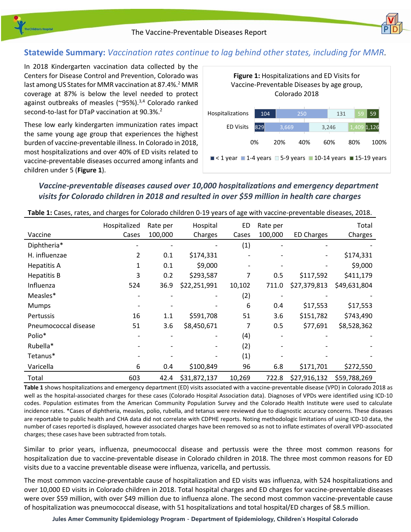

## **Statewide Summary:** *Vaccination rates continue to lag behind other states, including for MMR.*

In 2018 Kindergarten vaccination data collected by the Centers for Disease Control and Prevention, Colorado was last among US States for MMR vaccination at 87.4%.<sup>2</sup> MMR coverage at 87% is below the level needed to protect against outbreaks of measles ( $\degree$ 95%).<sup>3,4</sup> Colorado ranked second-to-last for DTaP vaccination at 90.3%.<sup>2</sup>

These low early kindergarten immunization rates impact the same young age group that experiences the highest burden of vaccine-preventable illness. In Colorado in 2018, most hospitalizations and over 40% of ED visits related to vaccine-preventable diseases occurred among infants and children under 5 (**Figure 1**).



## *Vaccine-preventable diseases caused over 10,000 hospitalizations and emergency department visits for Colorado children in 2018 and resulted in over \$59 million in health care charges*

|                      | Hospitalized | Rate per | Hospital     | <b>ED</b> | Rate per |                          | Total        |
|----------------------|--------------|----------|--------------|-----------|----------|--------------------------|--------------|
| Vaccine              | Cases        | 100,000  | Charges      | Cases     | 100,000  | <b>ED Charges</b>        | Charges      |
| Diphtheria*          |              |          |              | (1)       |          |                          |              |
| H. influenzae        | 2            | 0.1      | \$174,331    |           |          | $\overline{\phantom{a}}$ | \$174,331    |
| <b>Hepatitis A</b>   | 1            | 0.1      | \$9,000      |           |          |                          | \$9,000      |
| <b>Hepatitis B</b>   | 3            | 0.2      | \$293,587    | 7         | 0.5      | \$117,592                | \$411,179    |
| Influenza            | 524          | 36.9     | \$22,251,991 | 10,102    | 711.0    | \$27,379,813             | \$49,631,804 |
| Measles*             |              |          |              | (2)       |          |                          |              |
| <b>Mumps</b>         |              |          |              | 6         | 0.4      | \$17,553                 | \$17,553     |
| <b>Pertussis</b>     | 16           | 1.1      | \$591,708    | 51        | 3.6      | \$151,782                | \$743,490    |
| Pneumococcal disease | 51           | 3.6      | \$8,450,671  | 7         | 0.5      | \$77,691                 | \$8,528,362  |
| Polio*               |              |          |              | (4)       |          |                          |              |
| Rubella*             |              |          |              | (2)       |          |                          |              |
| Tetanus*             |              |          |              | (1)       |          |                          |              |
| Varicella            | 6            | 0.4      | \$100,849    | 96        | 6.8      | \$171,701                | \$272,550    |
| Total                | 603          | 42.4     | \$31,872,137 | 10,269    | 722.8    | \$27,916,132             | \$59,788,269 |

**Table 1:** Cases, rates, and charges for Colorado children 0-19 years of age with vaccine-preventable diseases, 2018.

**Table 1** shows hospitalizations and emergency department (ED) visits associated with a vaccine-preventable disease (VPD) in Colorado 2018 as well as the hospital-associated charges for these cases (Colorado Hospital Association data). Diagnoses of VPDs were identified using ICD-10 codes. Population estimates from the American Community Population Survey and the Colorado Health Institute were used to calculate incidence rates. \*Cases of diphtheria, measles, polio, rubella, and tetanus were reviewed due to diagnostic accuracy concerns. These diseases are reportable to public health and CHA data did not correlate with CDPHE reports. Noting methodologic limitations of using ICD-10 data, the number of cases reported is displayed, however associated charges have been removed so as not to inflate estimates of overall VPD-associated charges; these cases have been subtracted from totals.

Similar to prior years, influenza, pneumococcal disease and pertussis were the three most common reasons for hospitalization due to vaccine-preventable disease in Colorado children in 2018. The three most common reasons for ED visits due to a vaccine preventable disease were influenza, varicella, and pertussis.

The most common vaccine-preventable cause of hospitalization and ED visits was influenza, with 524 hospitalizations and over 10,000 ED visits in Colorado children in 2018. Total hospital charges and ED charges for vaccine-preventable diseases were over \$59 million, with over \$49 million due to influenza alone. The second most common vaccine-preventable cause of hospitalization was pneumococcal disease, with 51 hospitalizations and total hospital/ED charges of \$8.5 million.

**Jules Amer Community Epidemiology Program - Department of Epidemiology, Children's Hospital Colorado**